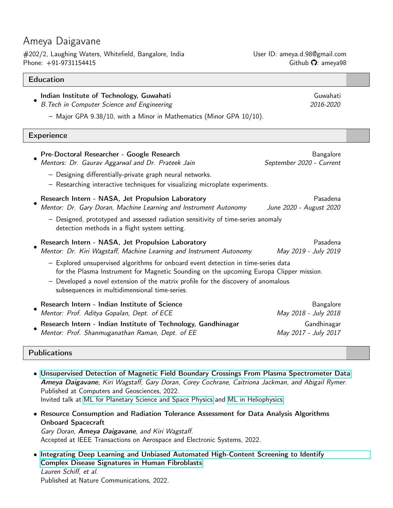# Ameya Daigavane

#202/2, Laughing Waters, Whitefield, Bangalore, India User ID: ameya.d.98@gmail.com Phone:  $+91$ -9731154415 Github  $\Omega$ : ameya98

#### **Education**

#### • Indian Institute of Technology, Guwahati Guwahati Guwahati Guwahati

B. Tech in Computer Science and Engineering 2016-2020

– Major GPA 9.38/10, with a Minor in Mathematics (Minor GPA 10/10).

#### **Experience**

| Pre-Doctoral Researcher - Google Research<br>Mentors: Dr. Gaurav Aggarwal and Dr. Prateek Jain                                                                                                                                                                                                                       | Bangalore<br>September 2020 - Current |
|----------------------------------------------------------------------------------------------------------------------------------------------------------------------------------------------------------------------------------------------------------------------------------------------------------------------|---------------------------------------|
| - Designing differentially-private graph neural networks.<br>- Researching interactive techniques for visualizing microplate experiments.                                                                                                                                                                            |                                       |
| Research Intern - NASA, Jet Propulsion Laboratory<br>Mentor: Dr. Gary Doran, Machine Learning and Instrument Autonomy                                                                                                                                                                                                | Pasadena<br>June 2020 - August 2020   |
| - Designed, prototyped and assessed radiation sensitivity of time-series anomaly<br>detection methods in a flight system setting.                                                                                                                                                                                    |                                       |
| Research Intern - NASA, Jet Propulsion Laboratory<br>Mentor: Dr. Kiri Wagstaff, Machine Learning and Instrument Autonomy                                                                                                                                                                                             | Pasadena<br>May 2019 - July 2019      |
| - Explored unsupervised algorithms for onboard event detection in time-series data<br>for the Plasma Instrument for Magnetic Sounding on the upcoming Europa Clipper mission.<br>- Developed a novel extension of the matrix profile for the discovery of anomalous<br>subsequences in multidimensional time-series. |                                       |
| Research Intern - Indian Institute of Science<br>Mentor: Prof. Aditya Gopalan, Dept. of ECE                                                                                                                                                                                                                          | Bangalore<br>May 2018 - July 2018     |
| Research Intern - Indian Institute of Technology, Gandhinagar<br>Mentor: Prof. Shanmuganathan Raman, Dept. of EE                                                                                                                                                                                                     | Gandhinagar<br>May 2017 - July 2017   |

### Publications

• [Unsupervised Detection of Magnetic Field Boundary Crossings From Plasma Spectrometer Data](https://www.sciencedirect.com/science/article/pii/S0098300422000073) Ameya Daigavane, Kiri Wagstaff, Gary Doran, Corey Cochrane, Caitriona Jackman, and Abigail Rymer. Published at Computers and Geosciences, 2022. Invited talk at [ML for Planetary Science and Space Physics](https://ml4psp.github.io/) and [ML in Heliophysics.](https://ml-helio.github.io/)

• Resource Consumption and Radiation Tolerance Assessment for Data Analysis Algorithms Onboard Spacecraft Gary Doran, Ameya Daigavane, and Kiri Wagstaff. Accepted at IEEE Transactions on Aerospace and Electronic Systems, 2022.

• [Integrating Deep Learning and Unbiased Automated High-Content Screening to Identify](https://www.nature.com/articles/s41467-022-28423-4) [Complex Disease Signatures in Human Fibroblasts](https://www.nature.com/articles/s41467-022-28423-4) Lauren Schiff, et al. Published at Nature Communications, 2022.